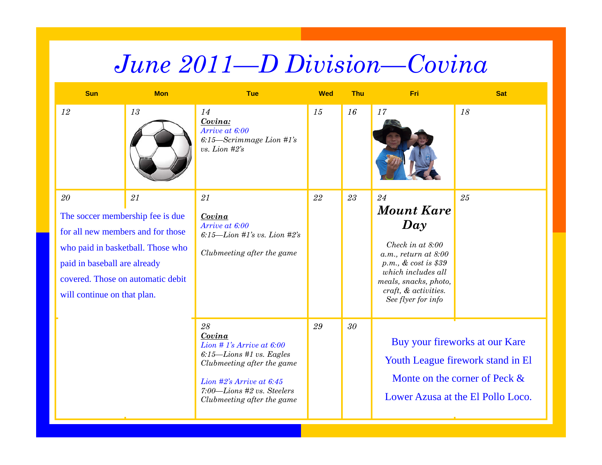## *June 2011—D Division—Covina*

| <b>Sun</b>                                                                                                                                                                                                               | <b>Mon</b> | Tue                                                                                                                                                                                              | <b>Wed</b> | Thu    | Fri                                                                                                                                                                                                                  | <b>Sat</b>                                                                                                                                   |
|--------------------------------------------------------------------------------------------------------------------------------------------------------------------------------------------------------------------------|------------|--------------------------------------------------------------------------------------------------------------------------------------------------------------------------------------------------|------------|--------|----------------------------------------------------------------------------------------------------------------------------------------------------------------------------------------------------------------------|----------------------------------------------------------------------------------------------------------------------------------------------|
| 12                                                                                                                                                                                                                       | 13         | 14<br>Covina:<br>Arrive at 6:00<br>$6:15$ —Scrimmage Lion #1's<br>vs. Lion $#2's$                                                                                                                | 15         | 16     | 17                                                                                                                                                                                                                   | 18                                                                                                                                           |
| $20\,$<br>The soccer membership fee is due<br>for all new members and for those<br>who paid in basketball. Those who<br>paid in baseball are already<br>covered. Those on automatic debit<br>will continue on that plan. | 21         | 21<br>Covina<br>Arrive at 6:00<br>6:15-Lion #1's vs. Lion #2's<br>Clubmeeting after the game                                                                                                     | 22         | 23     | 24<br><b>Mount Kare</b><br>$\boldsymbol{Day}$<br>Check in at 8:00<br>$a.m.,$ return at $8:00$<br>$p.m., \& cost is $39$<br>which includes all<br>meals, snacks, photo,<br>craft, & activities.<br>See flyer for info | 25                                                                                                                                           |
|                                                                                                                                                                                                                          |            | 28<br>Covina<br>Lion # 1's Arrive at $6:00$<br>$6:15$ -Lions #1 vs. Eagles<br>Clubmeeting after the game<br>Lion #2's Arrive at 6:45<br>7:00-Lions #2 vs. Steelers<br>Clubmeeting after the game | 29         | $30\,$ |                                                                                                                                                                                                                      | Buy your fireworks at our Kare<br>Youth League firework stand in El<br>Monte on the corner of Peck $\&$<br>Lower Azusa at the El Pollo Loco. |